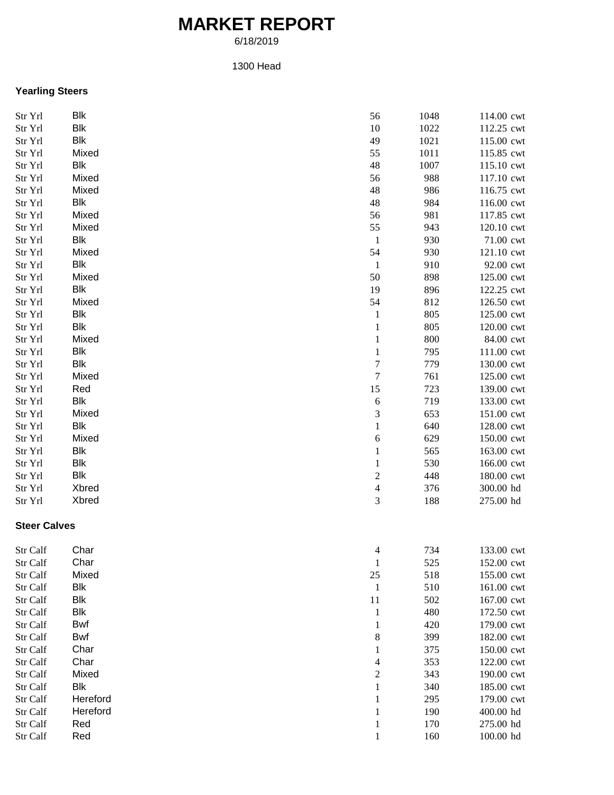# **MARKET REPORT**

6/18/2019

#### 1300 Head

### **Yearling Steers**

| Str Yrl             | Blk        | 56                      | 1048 | 114.00 cwt |
|---------------------|------------|-------------------------|------|------------|
| Str Yrl             | <b>Blk</b> | 10                      | 1022 | 112.25 cwt |
| Str Yrl             | <b>Blk</b> | 49                      | 1021 | 115.00 cwt |
| Str Yrl             | Mixed      | 55                      | 1011 | 115.85 cwt |
| Str Yrl             | Blk        | 48                      | 1007 | 115.10 cwt |
| Str Yrl             | Mixed      | 56                      | 988  | 117.10 cwt |
| Str Yrl             | Mixed      | 48                      | 986  | 116.75 cwt |
| Str Yrl             | Blk        | 48                      | 984  | 116.00 cwt |
| Str Yrl             | Mixed      | 56                      | 981  | 117.85 cwt |
| Str Yrl             | Mixed      | 55                      | 943  | 120.10 cwt |
| Str Yrl             | Blk        | $\mathbf{1}$            | 930  | 71.00 cwt  |
| Str Yrl             | Mixed      | 54                      | 930  | 121.10 cwt |
| Str Yrl             | Blk        | $\mathbf{1}$            | 910  | 92.00 cwt  |
| Str Yrl             | Mixed      | $50\,$                  | 898  | 125.00 cwt |
| Str Yrl             | Blk        | 19                      | 896  | 122.25 cwt |
| Str Yrl             | Mixed      | 54                      | 812  | 126.50 cwt |
| Str Yrl             | <b>Blk</b> | $\mathbf{1}$            | 805  | 125.00 cwt |
| Str Yrl             | <b>Blk</b> | $\mathbf{1}$            | 805  | 120.00 cwt |
| Str Yrl             | Mixed      | $\mathbf{1}$            | 800  | 84.00 cwt  |
| Str Yrl             | <b>Blk</b> | $\mathbf{1}$            | 795  | 111.00 cwt |
| Str Yrl             | <b>Blk</b> | 7                       | 779  | 130.00 cwt |
| Str Yrl             | Mixed      | 7                       | 761  | 125.00 cwt |
| Str Yrl             | Red        | 15                      | 723  | 139.00 cwt |
| Str Yrl             | <b>Blk</b> | 6                       | 719  | 133.00 cwt |
| Str Yrl             | Mixed      | 3                       | 653  | 151.00 cwt |
| Str Yrl             | <b>Blk</b> | $\mathbf{1}$            | 640  | 128.00 cwt |
| Str Yrl             | Mixed      | 6                       | 629  | 150.00 cwt |
| Str Yrl             | <b>Blk</b> | $\mathbf{1}$            | 565  | 163.00 cwt |
| Str Yrl             | <b>Blk</b> | $\mathbf{1}$            | 530  | 166.00 cwt |
| Str Yrl             | <b>Blk</b> | $\mathbf{2}$            | 448  | 180.00 cwt |
| Str Yrl             | Xbred      | $\overline{\mathbf{4}}$ | 376  | 300.00 hd  |
| Str Yrl             | Xbred      | 3                       | 188  | 275.00 hd  |
| <b>Steer Calves</b> |            |                         |      |            |
| Str Calf            | Char       | 4                       | 734  | 133.00 cwt |
| Str Calf            | Char       | 1                       | 525  | 152.00 cwt |
| Str Calf            | Mixed      | $25\,$                  | 518  | 155.00 cwt |
| Str Calf            | <b>Blk</b> | $\mathbf{1}$            | 510  | 161.00 cwt |
| Str Calf            | <b>Blk</b> | 11                      | 502  | 167.00 cwt |
| Str Calf            | <b>Blk</b> | 1                       | 480  | 172.50 cwt |
| Str Calf            | Bwf        | 1                       | 420  | 179.00 cwt |
| Str Calf            | Bwf        | 8                       | 399  | 182.00 cwt |
| Str Calf            | Char       | 1                       | 375  | 150.00 cwt |
| Str Calf            | Char       | 4                       | 353  | 122.00 cwt |
| Str Calf            | Mixed      | $\mathbf{2}$            | 343  | 190.00 cwt |
| Str Calf            | <b>Blk</b> | 1                       | 340  | 185.00 cwt |
| Str Calf            | Hereford   | 1                       | 295  | 179.00 cwt |
| Str Calf            | Hereford   | 1                       | 190  | 400.00 hd  |
| Str Calf            | Red        | 1                       | 170  | 275.00 hd  |
| Str Calf            | Red        | 1                       | 160  | 100.00 hd  |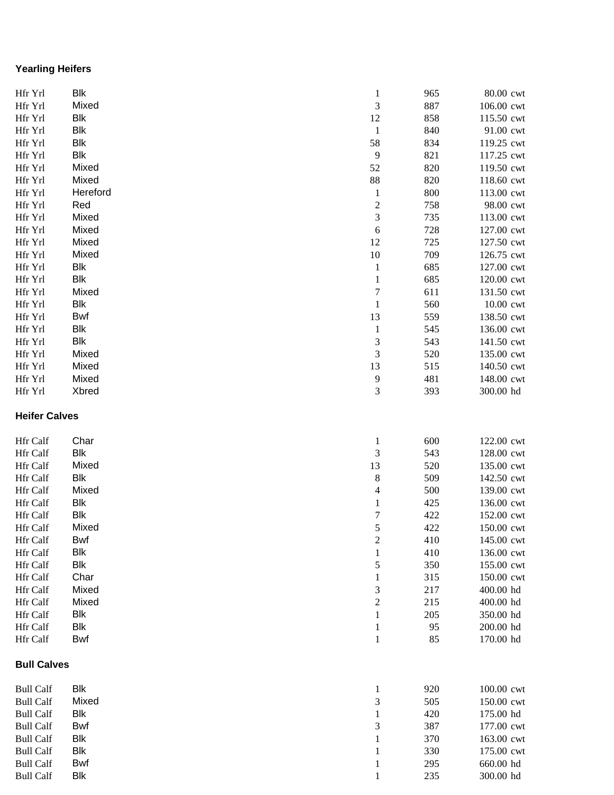# **Yearling Heifers**

| Hfr Yrl              | <b>Blk</b> | $\mathbf{1}$            | 965 | 80.00 cwt  |
|----------------------|------------|-------------------------|-----|------------|
| Hfr Yrl              | Mixed      | 3                       | 887 | 106.00 cwt |
| Hfr Yrl              | <b>Blk</b> | 12                      | 858 | 115.50 cwt |
| Hfr Yrl              | <b>Blk</b> | $\mathbf{1}$            | 840 | 91.00 cwt  |
| Hfr Yrl              | <b>Blk</b> | 58                      | 834 | 119.25 cwt |
| Hfr Yrl              | <b>Blk</b> | 9                       | 821 | 117.25 cwt |
| Hfr Yrl              | Mixed      | 52                      | 820 | 119.50 cwt |
| Hfr Yrl              | Mixed      | 88                      | 820 | 118.60 cwt |
| Hfr Yrl              | Hereford   | $\mathbf{1}$            | 800 | 113.00 cwt |
| Hfr Yrl              | Red        | $\overline{\mathbf{c}}$ | 758 | 98.00 cwt  |
| Hfr Yrl              | Mixed      | 3                       | 735 | 113.00 cwt |
| Hfr Yrl              | Mixed      | $\sqrt{6}$              | 728 | 127.00 cwt |
| Hfr Yrl              | Mixed      | 12                      | 725 | 127.50 cwt |
| Hfr Yrl              | Mixed      | 10                      | 709 | 126.75 cwt |
| Hfr Yrl              | Blk        | $\mathbf{1}$            | 685 | 127.00 cwt |
| Hfr Yrl              | Blk        | $\mathbf 1$             | 685 | 120.00 cwt |
| Hfr Yrl              | Mixed      | $\sqrt{ }$              | 611 | 131.50 cwt |
| Hfr Yrl              | <b>Blk</b> | $\mathbf{1}$            | 560 | 10.00 cwt  |
| Hfr Yrl              | <b>Bwf</b> | 13                      | 559 | 138.50 cwt |
| Hfr Yrl              | <b>Blk</b> | $\mathbf{1}$            | 545 | 136.00 cwt |
| Hfr Yrl              | <b>Blk</b> | 3                       | 543 | 141.50 cwt |
| Hfr Yrl              | Mixed      | 3                       | 520 | 135.00 cwt |
| Hfr Yrl              | Mixed      | 13                      | 515 | 140.50 cwt |
| Hfr Yrl              | Mixed      | 9                       | 481 | 148.00 cwt |
| Hfr Yrl              | Xbred      | 3                       | 393 | 300.00 hd  |
|                      |            |                         |     |            |
| <b>Heifer Calves</b> |            |                         |     |            |
| Hfr Calf             | Char       | $\mathbf{1}$            | 600 | 122.00 cwt |
| Hfr Calf             | <b>Blk</b> | 3                       | 543 | 128.00 cwt |
| Hfr Calf             | Mixed      | 13                      | 520 | 135.00 cwt |
| Hfr Calf             | <b>Blk</b> | 8                       | 509 | 142.50 cwt |
| Hfr Calf             | Mixed      | 4                       | 500 | 139.00 cwt |
| Hfr Calf             | <b>Blk</b> | $\mathbf{1}$            | 425 | 136.00 cwt |
| Hfr Calf             | <b>Blk</b> | $\sqrt{ }$              | 422 | 152.00 cwt |
| Hfr Calf             | Mixed      | 5                       | 422 | 150.00 cwt |
| Hfr Calf             | Bwf        | 2                       | 410 | 145.00 cwt |
| Hfr Calf             | <b>Blk</b> | $\mathbf{1}$            | 410 | 136.00 cwt |
| <b>Hfr Calf</b>      | <b>Blk</b> | 5                       | 350 | 155.00 cwt |
| Hfr Calf             | Char       | 1                       | 315 | 150.00 cwt |
| Hfr Calf             | Mixed      | 3                       | 217 | 400.00 hd  |
| Hfr Calf             | Mixed      | $\overline{c}$          | 215 | 400.00 hd  |
| Hfr Calf             | <b>Blk</b> | 1                       | 205 | 350.00 hd  |
| Hfr Calf             | <b>Blk</b> | 1                       | 95  | 200.00 hd  |
| Hfr Calf             | Bwf        | 1                       | 85  | 170.00 hd  |
| <b>Bull Calves</b>   |            |                         |     |            |
|                      |            |                         |     |            |
| <b>Bull Calf</b>     | Blk        | $\mathbf{1}$            | 920 | 100.00 cwt |
| <b>Bull Calf</b>     | Mixed      | 3                       | 505 | 150.00 cwt |
| <b>Bull Calf</b>     | <b>Blk</b> | $\mathbf{1}$            | 420 | 175.00 hd  |
| <b>Bull Calf</b>     | Bwf        | 3                       | 387 | 177.00 cwt |
| <b>Bull Calf</b>     | <b>Blk</b> | 1                       | 370 | 163.00 cwt |
| <b>Bull Calf</b>     | Blk        | 1                       | 330 | 175.00 cwt |
| <b>Bull Calf</b>     | Bwf        |                         | 295 | 660.00 hd  |
| <b>Bull Calf</b>     | <b>Blk</b> |                         | 235 | 300.00 hd  |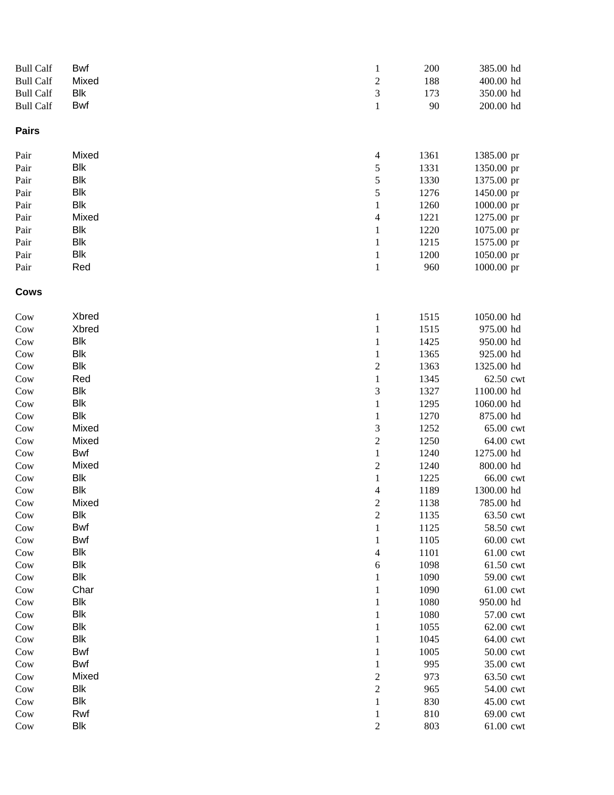| <b>Bull Calf</b> | Bwf        | $\mathbf{1}$   | 200  | 385.00 hd  |
|------------------|------------|----------------|------|------------|
| <b>Bull Calf</b> | Mixed      | $\overline{c}$ | 188  | 400.00 hd  |
| <b>Bull Calf</b> | <b>Blk</b> | 3              | 173  | 350.00 hd  |
| <b>Bull Calf</b> | <b>Bwf</b> | $\mathbf{1}$   | 90   | 200.00 hd  |
| <b>Pairs</b>     |            |                |      |            |
| Pair             | Mixed      | $\overline{4}$ | 1361 | 1385.00 pr |
| Pair             | <b>Blk</b> | 5              | 1331 | 1350.00 pr |
| Pair             | <b>Blk</b> | 5              | 1330 | 1375.00 pr |
| Pair             | <b>Blk</b> | 5              | 1276 | 1450.00 pr |
| Pair             | <b>Blk</b> | $\,1$          | 1260 | 1000.00 pr |
| Pair             | Mixed      | $\overline{4}$ | 1221 | 1275.00 pr |
| Pair             | <b>Blk</b> | $\mathbf{1}$   | 1220 | 1075.00 pr |
| Pair             | <b>Blk</b> | $\,1$          | 1215 | 1575.00 pr |
| Pair             | <b>Blk</b> | $\mathbf{1}$   | 1200 | 1050.00 pr |
| Pair             | Red        | $\,1$          | 960  | 1000.00 pr |
| <b>Cows</b>      |            |                |      |            |
| Cow              | Xbred      | $\mathbf{1}$   | 1515 | 1050.00 hd |
| Cow              | Xbred      | $\,1$          | 1515 | 975.00 hd  |
| Cow              | <b>Blk</b> | $\,1$          | 1425 | 950.00 hd  |
| Cow              | <b>Blk</b> | $\,1$          | 1365 | 925.00 hd  |
| Cow              | <b>Blk</b> | $\overline{c}$ | 1363 | 1325.00 hd |
| Cow              | Red        | $\,1$          | 1345 | 62.50 cwt  |
| Cow              | <b>Blk</b> | 3              | 1327 | 1100.00 hd |
| Cow              | <b>Blk</b> | $\,1$          | 1295 | 1060.00 hd |
| Cow              | <b>Blk</b> | $\,1$          | 1270 | 875.00 hd  |
| Cow              | Mixed      | 3              | 1252 | 65.00 cwt  |
| Cow              | Mixed      | $\overline{c}$ | 1250 | 64.00 cwt  |
| Cow              | Bwf        | $\,1$          | 1240 | 1275.00 hd |
| Cow              | Mixed      | $\overline{c}$ | 1240 | 800.00 hd  |
| Cow              | Blk        | $\mathbf{1}$   | 1225 | 66.00 cwt  |
| Cow              | <b>Blk</b> | 4              | 1189 | 1300.00 hd |
| Cow              | Mixed      | $\overline{c}$ | 1138 | 785.00 hd  |
| Cow              | <b>Blk</b> | $\overline{c}$ | 1135 | 63.50 cwt  |
| Cow              | Bwf        | 1              | 1125 | 58.50 cwt  |
| Cow              | <b>Bwf</b> | 1              | 1105 | 60.00 cwt  |
| Cow              | <b>Blk</b> | 4              | 1101 | 61.00 cwt  |
| Cow              | <b>Blk</b> | 6              | 1098 | 61.50 cwt  |
| Cow              | <b>Blk</b> | 1              | 1090 | 59.00 cwt  |
| Cow              | Char       | 1              | 1090 | 61.00 cwt  |
| Cow              | <b>Blk</b> | 1              | 1080 | 950.00 hd  |
| Cow              | <b>Blk</b> | 1              | 1080 | 57.00 cwt  |
| Cow              | <b>Blk</b> | 1              | 1055 | 62.00 cwt  |
| Cow              | <b>Blk</b> | 1              | 1045 | 64.00 cwt  |
| Cow              | Bwf        | 1              | 1005 | 50.00 cwt  |
| Cow              | Bwf        | 1              | 995  | 35.00 cwt  |
| Cow              | Mixed      | $\overline{c}$ | 973  | 63.50 cwt  |
| Cow              | <b>Blk</b> | $\mathbf{2}$   | 965  | 54.00 cwt  |
| Cow              | <b>Blk</b> | 1              | 830  | 45.00 cwt  |
| Cow              | Rwf        | 1              | 810  | 69.00 cwt  |
| Cow              | <b>Blk</b> | $\overline{2}$ | 803  | 61.00 cwt  |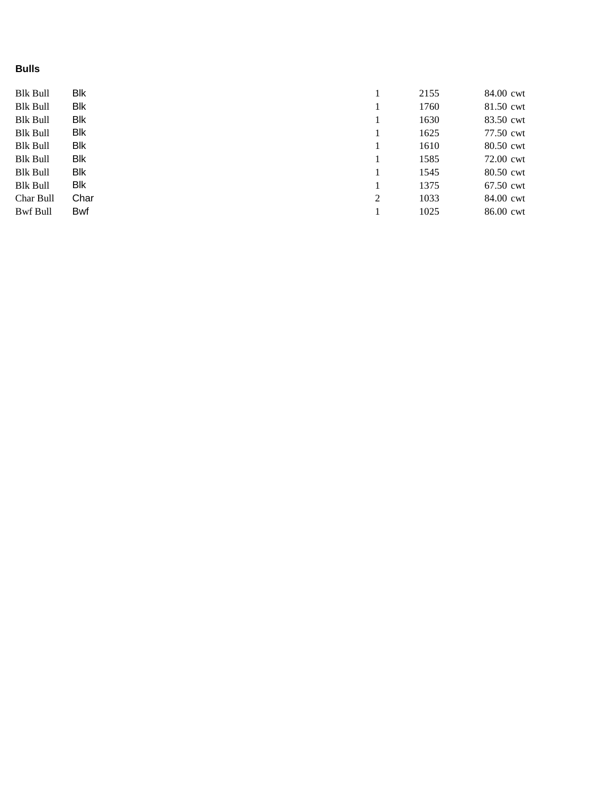# **Bulls**

| <b>Blk Bull</b> | Blk        |  |   | 2155 | 84.00 cwt |
|-----------------|------------|--|---|------|-----------|
| <b>Blk Bull</b> | Blk        |  |   | 1760 | 81.50 cwt |
| <b>Blk Bull</b> | Blk        |  |   | 1630 | 83.50 cwt |
| <b>Blk Bull</b> | Blk        |  |   | 1625 | 77.50 cwt |
| <b>Blk Bull</b> | Blk        |  |   | 1610 | 80.50 cwt |
| <b>Blk Bull</b> | Blk        |  |   | 1585 | 72.00 cwt |
| <b>Blk Bull</b> | Blk        |  |   | 1545 | 80.50 cwt |
| <b>Blk Bull</b> | Blk        |  |   | 1375 | 67.50 cwt |
| Char Bull       | Char       |  | 2 | 1033 | 84.00 cwt |
| Bwf Bull        | <b>Bwf</b> |  |   | 1025 | 86.00 cwt |
|                 |            |  |   |      |           |